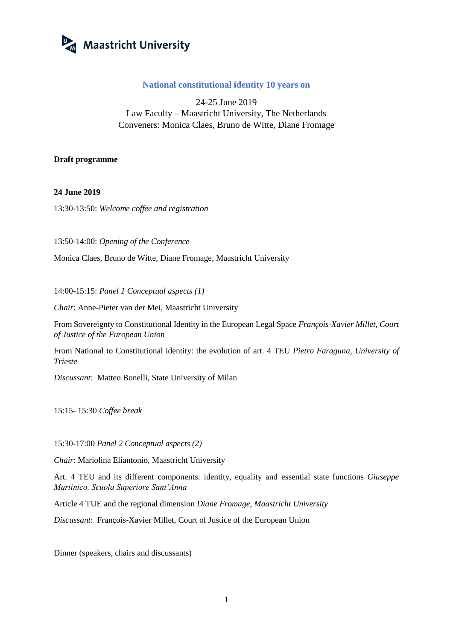

## **National constitutional identity 10 years on**

24-25 June 2019 Law Faculty – Maastricht University, The Netherlands Conveners: Monica Claes, Bruno de Witte, Diane Fromage

## **Draft programme**

## **24 June 2019**

13:30-13:50: *Welcome coffee and registration*

13:50-14:00: *Opening of the Conference*

Monica Claes, Bruno de Witte, Diane Fromage, Maastricht University

14:00-15:15: *Panel 1 Conceptual aspects (1)*

*Chair*: Anne-Pieter van der Mei, Maastricht University

From Sovereignty to Constitutional Identity in the European Legal Space *François-Xavier Millet, Court of Justice of the European Union*

From National to Constitutional identity: the evolution of art. 4 TEU *Pietro Faraguna, University of Trieste*

*Discussant*: Matteo Bonelli, State University of Milan

15:15- 15:30 *Coffee break*

15:30-17:00 *Panel 2 Conceptual aspects (2)*

*Chair*: Mariolina Eliantonio, Maastricht University

Art. 4 TEU and its different components: identity, equality and essential state functions *Giuseppe Martinico, Scuola Superiore Sant'Anna*

Article 4 TUE and the regional dimension *Diane Fromage, Maastricht University*

*Discussant*: François-Xavier Millet, Court of Justice of the European Union

Dinner (speakers, chairs and discussants)